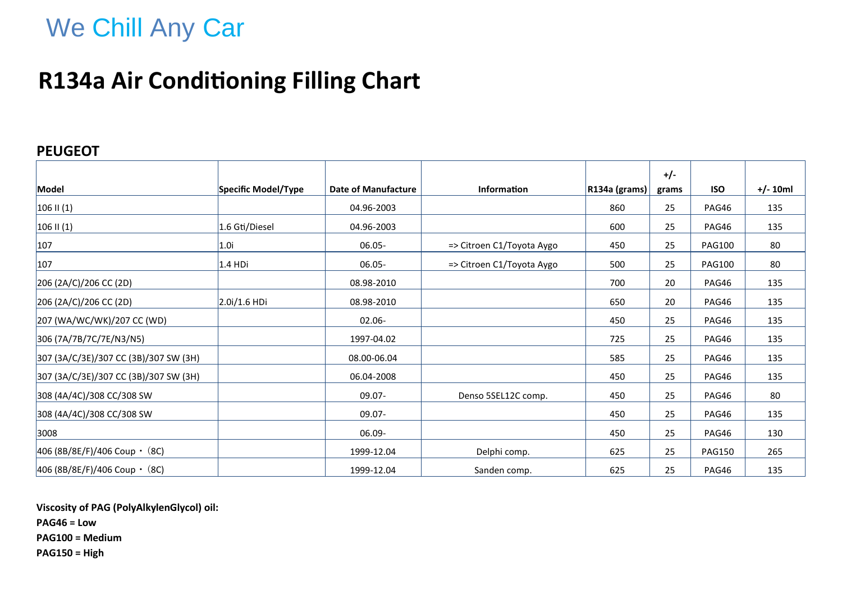# We Chill Any Car

## **R134a Air Conditioning Filling Chart**

### **PEUGEOT**

|                                        |                     |                            |                           |                      | $+/-$ |               |            |
|----------------------------------------|---------------------|----------------------------|---------------------------|----------------------|-------|---------------|------------|
| Model                                  | Specific Model/Type | <b>Date of Manufacture</b> | <b>Information</b>        | $ R134a$ (grams) $ $ | grams | <b>ISO</b>    | $+/- 10ml$ |
| $106$ II (1)                           |                     | 04.96-2003                 |                           | 860                  | 25    | PAG46         | 135        |
| $106$ II (1)                           | 1.6 Gti/Diesel      | 04.96-2003                 |                           | 600                  | 25    | PAG46         | 135        |
| 107                                    | 1.0i                | 06.05-                     | => Citroen C1/Toyota Aygo | 450                  | 25    | <b>PAG100</b> | 80         |
| 107                                    | $1.4$ HDi           | $06.05 -$                  | => Citroen C1/Toyota Aygo | 500                  | 25    | <b>PAG100</b> | 80         |
| 206 (2A/C)/206 CC (2D)                 |                     | 08.98-2010                 |                           | 700                  | 20    | PAG46         | 135        |
| 206 (2A/C)/206 CC (2D)                 | $2.0i/1.6$ HDi      | 08.98-2010                 |                           | 650                  | 20    | PAG46         | 135        |
| 207 (WA/WC/WK)/207 CC (WD)             |                     | $02.06 -$                  |                           | 450                  | 25    | PAG46         | 135        |
| 306 (7A/7B/7C/7E/N3/N5)                |                     | 1997-04.02                 |                           | 725                  | 25    | PAG46         | 135        |
| 307 (3A/C/3E)/307 CC (3B)/307 SW (3H)  |                     | 08.00-06.04                |                           | 585                  | 25    | PAG46         | 135        |
| 307 (3A/C/3E)/307 CC (3B)/307 SW (3H)  |                     | 06.04-2008                 |                           | 450                  | 25    | PAG46         | 135        |
| 308 (4A/4C)/308 CC/308 SW              |                     | $09.07 -$                  | Denso 5SEL12C comp.       | 450                  | 25    | PAG46         | 80         |
| 308 (4A/4C)/308 CC/308 SW              |                     | $09.07 -$                  |                           | 450                  | 25    | PAG46         | 135        |
| 3008                                   |                     | 06.09-                     |                           | 450                  | 25    | PAG46         | 130        |
| $ 406 (8B/8E/F)/406$ Coup $\cdot$ (8C) |                     | 1999-12.04                 | Delphi comp.              | 625                  | 25    | <b>PAG150</b> | 265        |
| $ 406 (8B/8E/F)/406$ Coup $\cdot$ (8C) |                     | 1999-12.04                 | Sanden comp.              | 625                  | 25    | PAG46         | 135        |

**Viscosity of PAG (PolyAlkylenGlycol) oil: PAG46 = Low**

**PAG100 = Medium**

**PAG150 = High**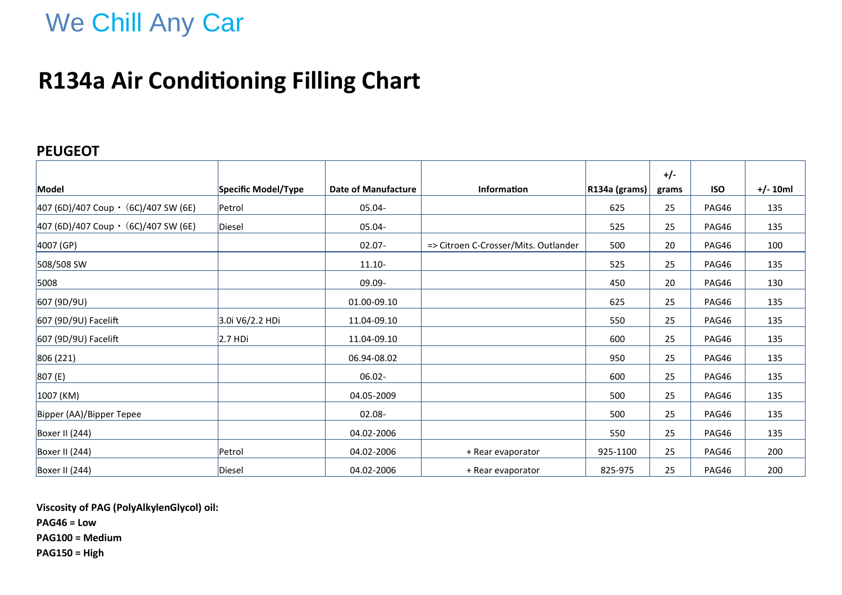# We Chill Any Car

## **R134a Air Conditioning Filling Chart**

### **PEUGEOT**

|                                               |                     |                            |                                      |               | $+/-$ |            |            |
|-----------------------------------------------|---------------------|----------------------------|--------------------------------------|---------------|-------|------------|------------|
| Model                                         | Specific Model/Type | <b>Date of Manufacture</b> | <b>Information</b>                   | R134a (grams) | grams | <b>ISO</b> | $+/- 10ml$ |
| $ 407 (6D)/407$ Coup $\cdot$ (6C)/407 SW (6E) | Petrol              | 05.04-                     |                                      | 625           | 25    | PAG46      | 135        |
| $ 407 (6D)/407$ Coup $\cdot$ (6C)/407 SW (6E) | Diesel              | 05.04-                     |                                      | 525           | 25    | PAG46      | 135        |
| $4007$ (GP)                                   |                     | $02.07 -$                  | => Citroen C-Crosser/Mits. Outlander | 500           | 20    | PAG46      | 100        |
| 508/508 SW                                    |                     | $11.10 -$                  |                                      | 525           | 25    | PAG46      | 135        |
| 5008                                          |                     | 09.09-                     |                                      | 450           | 20    | PAG46      | 130        |
| 607 (9D/9U)                                   |                     | 01.00-09.10                |                                      | 625           | 25    | PAG46      | 135        |
| 607 (9D/9U) Facelift                          | 3.0i V6/2.2 HDi     | 11.04-09.10                |                                      | 550           | 25    | PAG46      | 135        |
| 607 (9D/9U) Facelift                          | 2.7 HDi             | 11.04-09.10                |                                      | 600           | 25    | PAG46      | 135        |
| 806 (221)                                     |                     | 06.94-08.02                |                                      | 950           | 25    | PAG46      | 135        |
| 807(E)                                        |                     | $06.02 -$                  |                                      | 600           | 25    | PAG46      | 135        |
| 1007 (KM)                                     |                     | 04.05-2009                 |                                      | 500           | 25    | PAG46      | 135        |
| Bipper (AA)/Bipper Tepee                      |                     | $02.08 -$                  |                                      | 500           | 25    | PAG46      | 135        |
| Boxer II (244)                                |                     | 04.02-2006                 |                                      | 550           | 25    | PAG46      | 135        |
| Boxer II (244)                                | Petrol              | 04.02-2006                 | + Rear evaporator                    | 925-1100      | 25    | PAG46      | 200        |
| Boxer II (244)                                | Diesel              | 04.02-2006                 | + Rear evaporator                    | 825-975       | 25    | PAG46      | 200        |

**Viscosity of PAG (PolyAlkylenGlycol) oil:**

**PAG46 = Low**

**PAG100 = Medium**

**PAG150 = High**